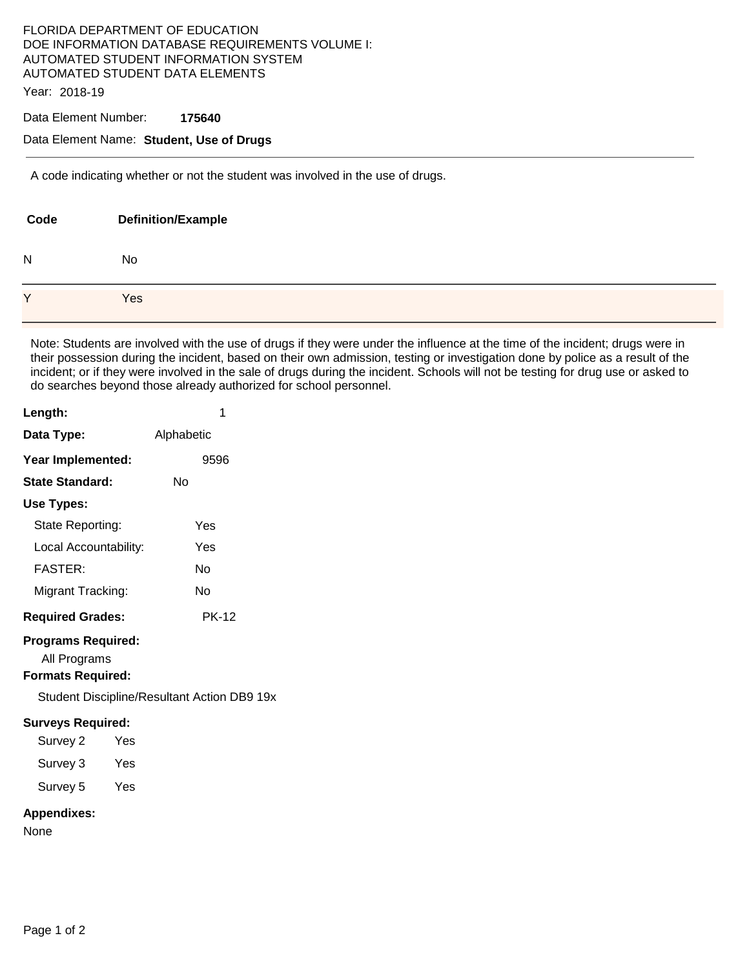# FLORIDA DEPARTMENT OF EDUCATION DOE INFORMATION DATABASE REQUIREMENTS VOLUME I: AUTOMATED STUDENT INFORMATION SYSTEM AUTOMATED STUDENT DATA ELEMENTS

Year: 2018-19

#### Data Element Number: **175640**

### Data Element Name: **Student, Use of Drugs**

A code indicating whether or not the student was involved in the use of drugs.

| Code | <b>Definition/Example</b> |
|------|---------------------------|
| N    | No                        |
| Y    | Yes                       |

Note: Students are involved with the use of drugs if they were under the influence at the time of the incident; drugs were in their possession during the incident, based on their own admission, testing or investigation done by police as a result of the incident; or if they were involved in the sale of drugs during the incident. Schools will not be testing for drug use or asked to do searches beyond those already authorized for school personnel.

| Length:                   | 1          |  |
|---------------------------|------------|--|
| Data Type:                | Alphabetic |  |
| Year Implemented:         | 9596       |  |
| <b>State Standard:</b>    | N٥         |  |
| Use Types:                |            |  |
| State Reporting:          | Yes        |  |
| Local Accountability:     | Yes        |  |
| <b>FASTER:</b>            | N٥         |  |
| Migrant Tracking:         | N٥         |  |
| <b>Required Grades:</b>   | PK-12      |  |
| <b>Programs Required:</b> |            |  |

All Programs

## **Formats Required:**

Student Discipline/Resultant Action DB9 19x

#### **Surveys Required:**

Survey 2 Yes Survey 3 Yes

Survey 5 Yes

# **Appendixes:**

None